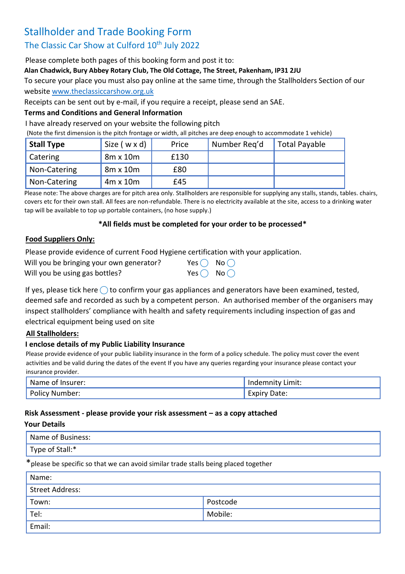# Stallholder and Trade Booking Form

## The Classic Car Show at Culford 10<sup>th</sup> July 2022

Please complete both pages of this booking form and post it to:

**Alan Chadwick, Bury Abbey Rotary Club, The Old Cottage, The Street, Pakenham, IP31 2JU**

To secure your place you must also pay online at the same time, through the Stallholders Section of our website [www.theclassiccarshow.org.uk](http://www.theclassiccarshow.org.uk/)

Receipts can be sent out by e-mail, if you require a receipt, please send an SAE.

## **Terms and Conditions and General Information**

I have already reserved on your website the following pitch

(Note the first dimension is the pitch frontage or width, all pitches are deep enough to accommodate 1 vehicle)

| <b>Stall Type</b> | Size (wxd)      | Price | Number Reg'd | <b>Total Payable</b> |
|-------------------|-----------------|-------|--------------|----------------------|
| <b>Catering</b>   | $8m \times 10m$ | £130  |              |                      |
| Non-Catering      | $8m \times 10m$ | £80   |              |                      |
| Non-Catering      | $4m \times 10m$ | £45   |              |                      |

Please note: The above charges are for pitch area only. Stallholders are responsible for supplying any stalls, stands, tables. chairs, covers etc for their own stall. All fees are non-refundable. There is no electricity available at the site, access to a drinking water tap will be available to top up portable containers, (no hose supply.)

#### **\*All fields must be completed for your order to be processed\***

#### **Food Suppliers Only:**

Please provide evidence of current Food Hygiene certification with your application.

| Will you be bringing your own generator? | Yes $\bigcirc$ No $\bigcirc$ |  |
|------------------------------------------|------------------------------|--|
| Will you be using gas bottles?           | Yes $\bigcirc$ No $\bigcirc$ |  |

If yes, please tick here  $\bigcirc$  to confirm your gas appliances and generators have been examined, tested, deemed safe and recorded as such by a competent person. An authorised member of the organisers may inspect stallholders' compliance with health and safety requirements including inspection of gas and electrical equipment being used on site

## **All Stallholders:**

## **I enclose details of my Public Liability Insurance**

Please provide evidence of your public liability insurance in the form of a policy schedule. The policy must cover the event activities and be valid during the dates of the event If you have any queries regarding your insurance please contact your insurance provider.

| Name of Insurer: | Indemnity Limit: |
|------------------|------------------|
| Policy           | Date:            |
| / Number:        | LANII            |

## **Risk Assessment - please provide your risk assessment – as a copy attached**

#### **Your Details**

| Name of Business:                                                                   |          |  |  |  |
|-------------------------------------------------------------------------------------|----------|--|--|--|
| Type of Stall:*                                                                     |          |  |  |  |
| *please be specific so that we can avoid similar trade stalls being placed together |          |  |  |  |
| Name:                                                                               |          |  |  |  |
| <b>Street Address:</b>                                                              |          |  |  |  |
| Town:                                                                               | Postcode |  |  |  |

| $T_{\mathsf{Q}}$<br>◡ ੶ | Mobile: |
|-------------------------|---------|
| Email:                  |         |